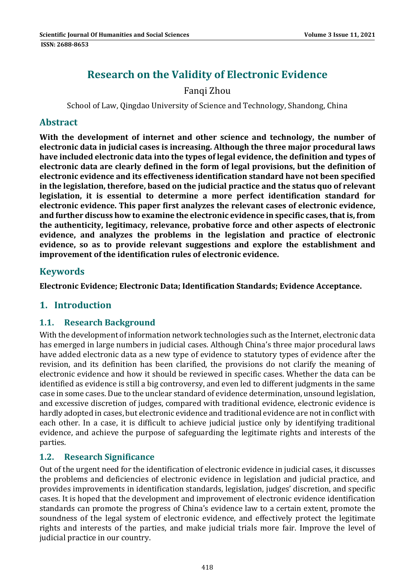# **Research on the Validity of Electronic Evidence**

# Fanqi Zhou

School of Law, Qingdao University of Science and Technology, Shandong, China

### **Abstract**

**With the development of internet and other science and technology, the number of electronic data in judicial cases is increasing. Although the three major procedural laws have included electronic data into the types of legal evidence, the definition and types of electronic data are clearly defined in the form of legal provisions, but the definition of electronic evidence and its effectiveness identification standard have not been specified in the legislation, therefore, based on the judicial practice and the status quo of relevant legislation, it is essential to determine a more perfect identification standard for electronic evidence. This paper first analyzes the relevant cases of electronic evidence, and further discuss how to examine the electronic evidence in specific cases,thatis, from the authenticity, legitimacy, relevance, probative force and other aspects of electronic evidence, and analyzes the problems in the legislation and practice of electronic evidence, so as to provide relevant suggestions and explore the establishment and improvement of the identification rules of electronic evidence.**

### **Keywords**

**Electronic Evidence; Electronic Data; Identification Standards; Evidence Acceptance.**

# **1. Introduction**

#### **1.1. Research Background**

With the development of information network technologies such as the Internet, electronic data has emerged in large numbers in judicial cases. Although China's three major procedural laws have added electronic data as a new type of evidence to statutory types of evidence after the revision, and its definition has been clarified, the provisions do not clarify the meaning of electronic evidence and how it should be reviewed in specific cases. Whether the data can be identified as evidence is still a big controversy, and even led to different judgments in the same case in some cases. Due to the unclear standard of evidence determination, unsound legislation, and excessive discretion of judges, compared with traditional evidence, electronic evidence is hardly adopted in cases, but electronic evidence and traditional evidence are not in conflict with each other. In a case, it is difficult to achieve judicial justice only by identifying traditional evidence, and achieve the purpose of safeguarding the legitimate rights and interests of the parties. 

#### 1.2. **Research Significance**

Out of the urgent need for the identification of electronic evidence in judicial cases, it discusses the problems and deficiencies of electronic evidence in legislation and judicial practice, and provides improvements in identification standards, legislation, judges' discretion, and specific cases. It is hoped that the development and improvement of electronic evidence identification standards can promote the progress of China's evidence law to a certain extent, promote the soundness of the legal system of electronic evidence, and effectively protect the legitimate rights and interests of the parties, and make judicial trials more fair. Improve the level of judicial practice in our country.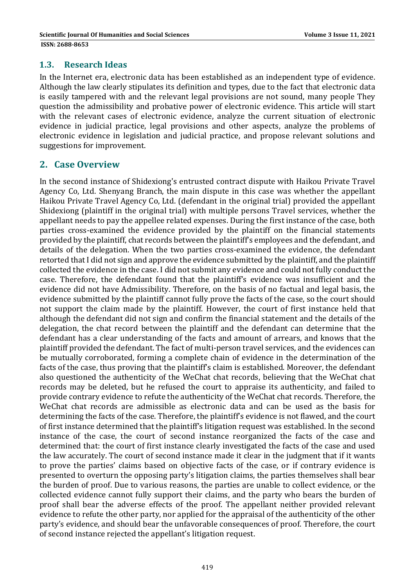#### **1.3. Research Ideas**

In the Internet era, electronic data has been established as an independent type of evidence. Although the law clearly stipulates its definition and types, due to the fact that electronic data is easily tampered with and the relevant legal provisions are not sound, many people They question the admissibility and probative power of electronic evidence. This article will start with the relevant cases of electronic evidence, analyze the current situation of electronic evidence in judicial practice, legal provisions and other aspects, analyze the problems of electronic evidence in legislation and judicial practice, and propose relevant solutions and suggestions for improvement.

# **2. Case Overview**

In the second instance of Shidexiong's entrusted contract dispute with Haikou Private Travel Agency Co, Ltd. Shenyang Branch, the main dispute in this case was whether the appellant Haikou Private Travel Agency Co, Ltd. (defendant in the original trial) provided the appellant Shidexiong (plaintiff in the original trial) with multiple persons Travel services, whether the appellant needs to pay the appellee related expenses. During the first instance of the case, both parties cross-examined the evidence provided by the plaintiff on the financial statements provided by the plaintiff, chat records between the plaintiff's employees and the defendant, and details of the delegation. When the two parties cross-examined the evidence, the defendant retorted that I did not sign and approve the evidence submitted by the plaintiff, and the plaintiff collected the evidence in the case. I did not submit any evidence and could not fully conduct the case. Therefore, the defendant found that the plaintiff's evidence was insufficient and the evidence did not have Admissibility. Therefore, on the basis of no factual and legal basis, the evidence submitted by the plaintiff cannot fully prove the facts of the case, so the court should not support the claim made by the plaintiff. However, the court of first instance held that although the defendant did not sign and confirm the financial statement and the details of the delegation, the chat record between the plaintiff and the defendant can determine that the defendant has a clear understanding of the facts and amount of arrears, and knows that the plaintiff provided the defendant. The fact of multi-person travel services, and the evidences can be mutually corroborated, forming a complete chain of evidence in the determination of the facts of the case, thus proving that the plaintiff's claim is established. Moreover, the defendant also questioned the authenticity of the WeChat chat records, believing that the WeChat chat records may be deleted, but he refused the court to appraise its authenticity, and failed to provide contrary evidence to refute the authenticity of the WeChat chat records. Therefore, the WeChat chat records are admissible as electronic data and can be used as the basis for determining the facts of the case. Therefore, the plaintiff's evidence is not flawed, and the court of first instance determined that the plaintiff's litigation request was established. In the second instance of the case, the court of second instance reorganized the facts of the case and determined that: the court of first instance clearly investigated the facts of the case and used the law accurately. The court of second instance made it clear in the judgment that if it wants to prove the parties' claims based on objective facts of the case, or if contrary evidence is presented to overturn the opposing party's litigation claims, the parties themselves shall bear the burden of proof. Due to various reasons, the parties are unable to collect evidence, or the collected evidence cannot fully support their claims, and the party who bears the burden of proof shall bear the adverse effects of the proof. The appellant neither provided relevant evidence to refute the other party, nor applied for the appraisal of the authenticity of the other party's evidence, and should bear the unfavorable consequences of proof. Therefore, the court of second instance rejected the appellant's litigation request.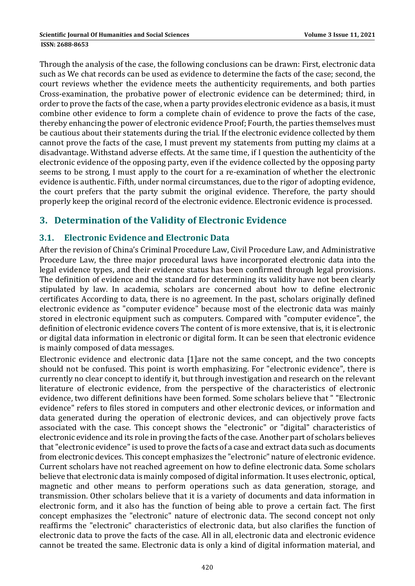Through the analysis of the case, the following conclusions can be drawn: First, electronic data such as We chat records can be used as evidence to determine the facts of the case; second, the court reviews whether the evidence meets the authenticity requirements, and both parties Cross-examination, the probative power of electronic evidence can be determined; third, in order to prove the facts of the case, when a party provides electronic evidence as a basis, it must combine other evidence to form a complete chain of evidence to prove the facts of the case, thereby enhancing the power of electronic evidence Proof; Fourth, the parties themselves must be cautious about their statements during the trial. If the electronic evidence collected by them cannot prove the facts of the case, I must prevent my statements from putting my claims at a disadvantage. Withstand adverse effects. At the same time, if I question the authenticity of the electronic evidence of the opposing party, even if the evidence collected by the opposing party seems to be strong, I must apply to the court for a re-examination of whether the electronic evidence is authentic. Fifth, under normal circumstances, due to the rigor of adopting evidence, the court prefers that the party submit the original evidence. Therefore, the party should properly keep the original record of the electronic evidence. Electronic evidence is processed.

# **3. Determination of the Validity of Electronic Evidence**

#### **3.1. Electronic Evidence and Electronic Data**

After the revision of China's Criminal Procedure Law, Civil Procedure Law, and Administrative Procedure Law, the three major procedural laws have incorporated electronic data into the legal evidence types, and their evidence status has been confirmed through legal provisions. The definition of evidence and the standard for determining its validity have not been clearly stipulated by law. In academia, scholars are concerned about how to define electronic certificates According to data, there is no agreement. In the past, scholars originally defined electronic evidence as "computer evidence" because most of the electronic data was mainly stored in electronic equipment such as computers. Compared with "computer evidence", the definition of electronic evidence covers The content of is more extensive, that is, it is electronic or digital data information in electronic or digital form. It can be seen that electronic evidence is mainly composed of data messages.

Electronic evidence and electronic data [1]are not the same concept, and the two concepts should not be confused. This point is worth emphasizing. For "electronic evidence", there is currently no clear concept to identify it, but through investigation and research on the relevant literature of electronic evidence, from the perspective of the characteristics of electronic evidence, two different definitions have been formed. Some scholars believe that " "Electronic evidence" refers to files stored in computers and other electronic devices, or information and data generated during the operation of electronic devices, and can objectively prove facts associated with the case. This concept shows the "electronic" or "digital" characteristics of electronic evidence and its role in proving the facts of the case. Another part of scholars believes that "electronic evidence" is used to prove the facts of a case and extract data such as documents from electronic devices. This concept emphasizes the "electronic" nature of electronic evidence. Current scholars have not reached agreement on how to define electronic data. Some scholars believe that electronic data is mainly composed of digital information. It uses electronic, optical, magnetic and other means to perform operations such as data generation, storage, and transmission. Other scholars believe that it is a variety of documents and data information in electronic form, and it also has the function of being able to prove a certain fact. The first concept emphasizes the "electronic" nature of electronic data. The second concept not only reaffirms the "electronic" characteristics of electronic data, but also clarifies the function of electronic data to prove the facts of the case. All in all, electronic data and electronic evidence cannot be treated the same. Electronic data is only a kind of digital information material, and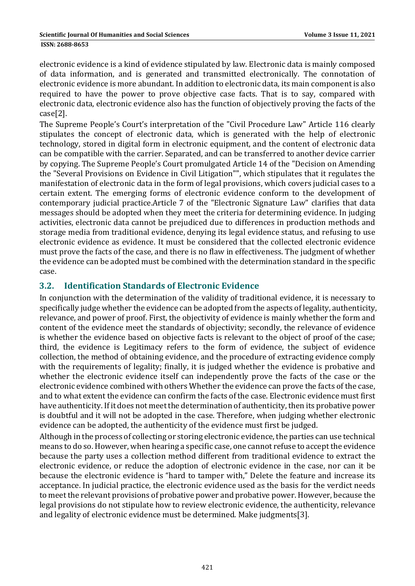electronic evidence is a kind of evidence stipulated by law. Electronic data is mainly composed of data information, and is generated and transmitted electronically. The connotation of electronic evidence is more abundant. In addition to electronic data, its main component is also required to have the power to prove objective case facts. That is to say, compared with electronic data, electronic evidence also has the function of objectively proving the facts of the case[2]. 

The Supreme People's Court's interpretation of the "Civil Procedure Law" Article 116 clearly stipulates the concept of electronic data, which is generated with the help of electronic technology, stored in digital form in electronic equipment, and the content of electronic data can be compatible with the carrier. Separated, and can be transferred to another device carrier by copying. The Supreme People's Court promulgated Article 14 of the "Decision on Amending the "Several Provisions on Evidence in Civil Litigation"", which stipulates that it regulates the manifestation of electronic data in the form of legal provisions, which covers judicial cases to a certain extent. The emerging forms of electronic evidence conform to the development of contemporary judicial practice.Article 7 of the "Electronic Signature Law" clarifies that data messages should be adopted when they meet the criteria for determining evidence. In judging activities, electronic data cannot be prejudiced due to differences in production methods and storage media from traditional evidence, denying its legal evidence status, and refusing to use electronic evidence as evidence. It must be considered that the collected electronic evidence must prove the facts of the case, and there is no flaw in effectiveness. The judgment of whether the evidence can be adopted must be combined with the determination standard in the specific case. 

### **3.2. Identification Standards of Electronic Evidence**

In conjunction with the determination of the validity of traditional evidence, it is necessary to specifically judge whether the evidence can be adopted from the aspects of legality, authenticity, relevance, and power of proof. First, the objectivity of evidence is mainly whether the form and content of the evidence meet the standards of objectivity; secondly, the relevance of evidence is whether the evidence based on objective facts is relevant to the object of proof of the case; third, the evidence is Legitimacy refers to the form of evidence, the subject of evidence collection, the method of obtaining evidence, and the procedure of extracting evidence comply with the requirements of legality; finally, it is judged whether the evidence is probative and whether the electronic evidence itself can independently prove the facts of the case or the electronic evidence combined with others Whether the evidence can prove the facts of the case, and to what extent the evidence can confirm the facts of the case. Electronic evidence must first have authenticity. If it does not meet the determination of authenticity, then its probative power is doubtful and it will not be adopted in the case. Therefore, when judging whether electronic evidence can be adopted, the authenticity of the evidence must first be judged.

Although in the process of collecting or storing electronic evidence, the parties can use technical means to do so. However, when hearing a specific case, one cannot refuse to accept the evidence because the party uses a collection method different from traditional evidence to extract the electronic evidence, or reduce the adoption of electronic evidence in the case, nor can it be because the electronic evidence is "hard to tamper with," Delete the feature and increase its acceptance. In judicial practice, the electronic evidence used as the basis for the verdict needs to meet the relevant provisions of probative power and probative power. However, because the legal provisions do not stipulate how to review electronic evidence, the authenticity, relevance and legality of electronic evidence must be determined. Make judgments[3].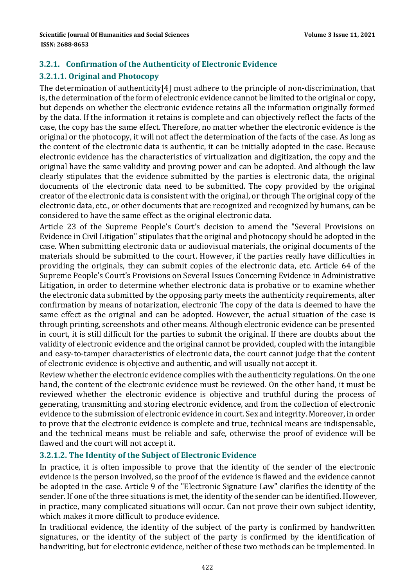# **3.2.1. Confirmation of the Authenticity of Electronic Evidence 3.2.1.1. Original and Photocopy**

The determination of authenticity[4] must adhere to the principle of non-discrimination, that is, the determination of the form of electronic evidence cannot be limited to the original or copy, but depends on whether the electronic evidence retains all the information originally formed by the data. If the information it retains is complete and can objectively reflect the facts of the case, the copy has the same effect. Therefore, no matter whether the electronic evidence is the original or the photocopy, it will not affect the determination of the facts of the case. As long as the content of the electronic data is authentic, it can be initially adopted in the case. Because electronic evidence has the characteristics of virtualization and digitization, the copy and the original have the same validity and proving power and can be adopted. And although the law clearly stipulates that the evidence submitted by the parties is electronic data, the original documents of the electronic data need to be submitted. The copy provided by the original creator of the electronic data is consistent with the original, or through The original copy of the electronic data, etc., or other documents that are recognized and recognized by humans, can be considered to have the same effect as the original electronic data.

Article 23 of the Supreme People's Court's decision to amend the "Several Provisions on Evidence in Civil Litigation" stipulates that the original and photocopy should be adopted in the case. When submitting electronic data or audiovisual materials, the original documents of the materials should be submitted to the court. However, if the parties really have difficulties in providing the originals, they can submit copies of the electronic data, etc. Article 64 of the Supreme People's Court's Provisions on Several Issues Concerning Evidence in Administrative Litigation, in order to determine whether electronic data is probative or to examine whether the electronic data submitted by the opposing party meets the authenticity requirements, after confirmation by means of notarization, electronic The copy of the data is deemed to have the same effect as the original and can be adopted. However, the actual situation of the case is through printing, screenshots and other means. Although electronic evidence can be presented in court, it is still difficult for the parties to submit the original. If there are doubts about the validity of electronic evidence and the original cannot be provided, coupled with the intangible and easy-to-tamper characteristics of electronic data, the court cannot judge that the content of electronic evidence is objective and authentic, and will usually not accept it.

Review whether the electronic evidence complies with the authenticity regulations. On the one hand, the content of the electronic evidence must be reviewed. On the other hand, it must be reviewed whether the electronic evidence is objective and truthful during the process of generating, transmitting and storing electronic evidence, and from the collection of electronic evidence to the submission of electronic evidence in court. Sex and integrity. Moreover, in order to prove that the electronic evidence is complete and true, technical means are indispensable, and the technical means must be reliable and safe, otherwise the proof of evidence will be flawed and the court will not accept it.

#### **3.2.1.2. The Identity of the Subject of Electronic Evidence**

In practice, it is often impossible to prove that the identity of the sender of the electronic evidence is the person involved, so the proof of the evidence is flawed and the evidence cannot be adopted in the case. Article 9 of the "Electronic Signature Law" clarifies the identity of the sender. If one of the three situations is met, the identity of the sender can be identified. However, in practice, many complicated situations will occur. Can not prove their own subject identity, which makes it more difficult to produce evidence.

In traditional evidence, the identity of the subject of the party is confirmed by handwritten signatures, or the identity of the subject of the party is confirmed by the identification of handwriting, but for electronic evidence, neither of these two methods can be implemented. In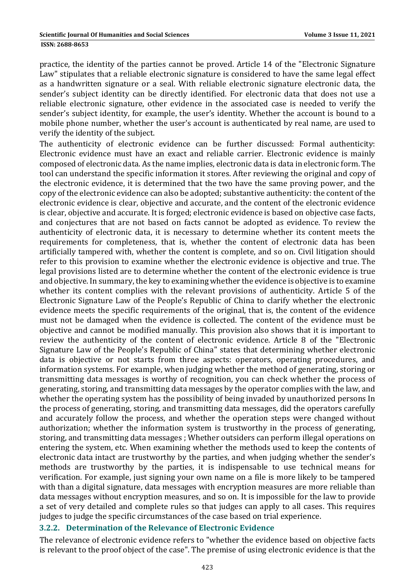practice, the identity of the parties cannot be proved. Article 14 of the "Electronic Signature Law" stipulates that a reliable electronic signature is considered to have the same legal effect as a handwritten signature or a seal. With reliable electronic signature electronic data, the sender's subject identity can be directly identified. For electronic data that does not use a reliable electronic signature, other evidence in the associated case is needed to verify the sender's subject identity, for example, the user's identity. Whether the account is bound to a mobile phone number, whether the user's account is authenticated by real name, are used to verify the identity of the subject.

The authenticity of electronic evidence can be further discussed: Formal authenticity: Electronic evidence must have an exact and reliable carrier. Electronic evidence is mainly composed of electronic data. As the name implies, electronic data is data in electronic form. The tool can understand the specific information it stores. After reviewing the original and copy of the electronic evidence, it is determined that the two have the same proving power, and the copy of the electronic evidence can also be adopted; substantive authenticity: the content of the electronic evidence is clear, objective and accurate, and the content of the electronic evidence is clear, objective and accurate. It is forged; electronic evidence is based on objective case facts, and conjectures that are not based on facts cannot be adopted as evidence. To review the authenticity of electronic data, it is necessary to determine whether its content meets the requirements for completeness, that is, whether the content of electronic data has been artificially tampered with, whether the content is complete, and so on. Civil litigation should refer to this provision to examine whether the electronic evidence is objective and true. The legal provisions listed are to determine whether the content of the electronic evidence is true and objective. In summary, the key to examining whether the evidence is objective is to examine whether its content complies with the relevant provisions of authenticity. Article 5 of the Electronic Signature Law of the People's Republic of China to clarify whether the electronic evidence meets the specific requirements of the original, that is, the content of the evidence must not be damaged when the evidence is collected. The content of the evidence must be objective and cannot be modified manually. This provision also shows that it is important to review the authenticity of the content of electronic evidence. Article 8 of the "Electronic Signature Law of the People's Republic of China" states that determining whether electronic data is objective or not starts from three aspects: operators, operating procedures, and information systems. For example, when judging whether the method of generating, storing or transmitting data messages is worthy of recognition, you can check whether the process of generating, storing, and transmitting data messages by the operator complies with the law, and whether the operating system has the possibility of being invaded by unauthorized persons In the process of generating, storing, and transmitting data messages, did the operators carefully and accurately follow the process, and whether the operation steps were changed without authorization; whether the information system is trustworthy in the process of generating, storing, and transmitting data messages ; Whether outsiders can perform illegal operations on entering the system, etc. When examining whether the methods used to keep the contents of electronic data intact are trustworthy by the parties, and when judging whether the sender's methods are trustworthy by the parties, it is indispensable to use technical means for verification. For example, just signing your own name on a file is more likely to be tampered with than a digital signature, data messages with encryption measures are more reliable than data messages without encryption measures, and so on. It is impossible for the law to provide a set of very detailed and complete rules so that judges can apply to all cases. This requires judges to judge the specific circumstances of the case based on trial experience.

#### **3.2.2. Determination of the Relevance of Electronic Evidence**

The relevance of electronic evidence refers to "whether the evidence based on objective facts is relevant to the proof object of the case". The premise of using electronic evidence is that the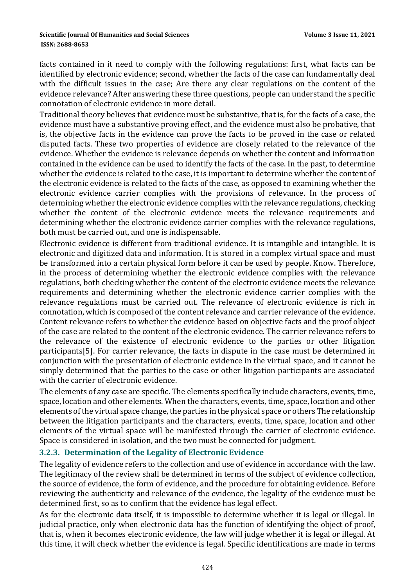#### **ISSN: 2688-8653**

facts contained in it need to comply with the following regulations: first, what facts can be identified by electronic evidence; second, whether the facts of the case can fundamentally deal with the difficult issues in the case; Are there any clear regulations on the content of the evidence relevance? After answering these three questions, people can understand the specific connotation of electronic evidence in more detail.

Traditional theory believes that evidence must be substantive, that is, for the facts of a case, the evidence must have a substantive proving effect, and the evidence must also be probative, that is, the objective facts in the evidence can prove the facts to be proved in the case or related disputed facts. These two properties of evidence are closely related to the relevance of the evidence. Whether the evidence is relevance depends on whether the content and information contained in the evidence can be used to identify the facts of the case. In the past, to determine whether the evidence is related to the case, it is important to determine whether the content of the electronic evidence is related to the facts of the case, as opposed to examining whether the electronic evidence carrier complies with the provisions of relevance. In the process of determining whether the electronic evidence complies with the relevance regulations, checking whether the content of the electronic evidence meets the relevance requirements and determining whether the electronic evidence carrier complies with the relevance regulations, both must be carried out, and one is indispensable.

Electronic evidence is different from traditional evidence. It is intangible and intangible. It is electronic and digitized data and information. It is stored in a complex virtual space and must be transformed into a certain physical form before it can be used by people. Know. Therefore, in the process of determining whether the electronic evidence complies with the relevance regulations, both checking whether the content of the electronic evidence meets the relevance requirements and determining whether the electronic evidence carrier complies with the relevance regulations must be carried out. The relevance of electronic evidence is rich in connotation, which is composed of the content relevance and carrier relevance of the evidence. Content relevance refers to whether the evidence based on objective facts and the proof object of the case are related to the content of the electronic evidence. The carrier relevance refers to the relevance of the existence of electronic evidence to the parties or other litigation participants[5]. For carrier relevance, the facts in dispute in the case must be determined in conjunction with the presentation of electronic evidence in the virtual space, and it cannot be simply determined that the parties to the case or other litigation participants are associated with the carrier of electronic evidence.

The elements of any case are specific. The elements specifically include characters, events, time, space, location and other elements. When the characters, events, time, space, location and other elements of the virtual space change, the parties in the physical space or others The relationship between the litigation participants and the characters, events, time, space, location and other elements of the virtual space will be manifested through the carrier of electronic evidence. Space is considered in isolation, and the two must be connected for judgment.

#### **3.2.3. Determination of the Legality of Electronic Evidence**

The legality of evidence refers to the collection and use of evidence in accordance with the law. The legitimacy of the review shall be determined in terms of the subject of evidence collection, the source of evidence, the form of evidence, and the procedure for obtaining evidence. Before reviewing the authenticity and relevance of the evidence, the legality of the evidence must be determined first, so as to confirm that the evidence has legal effect.

As for the electronic data itself, it is impossible to determine whether it is legal or illegal. In judicial practice, only when electronic data has the function of identifying the object of proof, that is, when it becomes electronic evidence, the law will judge whether it is legal or illegal. At this time, it will check whether the evidence is legal. Specific identifications are made in terms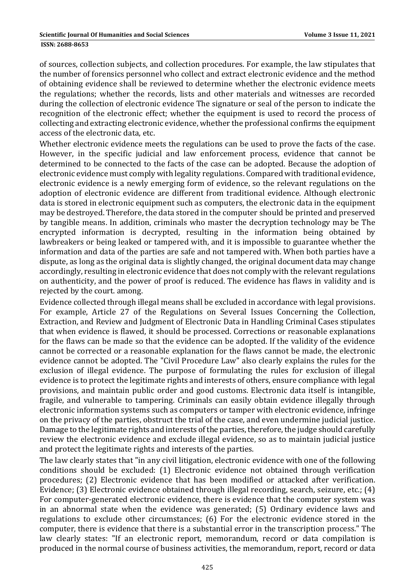of sources, collection subjects, and collection procedures. For example, the law stipulates that the number of forensics personnel who collect and extract electronic evidence and the method of obtaining evidence shall be reviewed to determine whether the electronic evidence meets the regulations; whether the records, lists and other materials and witnesses are recorded during the collection of electronic evidence The signature or seal of the person to indicate the recognition of the electronic effect; whether the equipment is used to record the process of collecting and extracting electronic evidence, whether the professional confirms the equipment access of the electronic data, etc.

Whether electronic evidence meets the regulations can be used to prove the facts of the case. However, in the specific judicial and law enforcement process, evidence that cannot be determined to be connected to the facts of the case can be adopted. Because the adoption of electronic evidence must comply with legality regulations. Compared with traditional evidence, electronic evidence is a newly emerging form of evidence, so the relevant regulations on the adoption of electronic evidence are different from traditional evidence. Although electronic data is stored in electronic equipment such as computers, the electronic data in the equipment may be destroyed. Therefore, the data stored in the computer should be printed and preserved by tangible means. In addition, criminals who master the decryption technology may be The encrypted information is decrypted, resulting in the information being obtained by lawbreakers or being leaked or tampered with, and it is impossible to guarantee whether the information and data of the parties are safe and not tampered with. When both parties have a dispute, as long as the original data is slightly changed, the original document data may change accordingly, resulting in electronic evidence that does not comply with the relevant regulations on authenticity, and the power of proof is reduced. The evidence has flaws in validity and is rejected by the court. among.

Evidence collected through illegal means shall be excluded in accordance with legal provisions. For example, Article 27 of the Regulations on Several Issues Concerning the Collection, Extraction, and Review and Judgment of Electronic Data in Handling Criminal Cases stipulates that when evidence is flawed, it should be processed. Corrections or reasonable explanations for the flaws can be made so that the evidence can be adopted. If the validity of the evidence cannot be corrected or a reasonable explanation for the flaws cannot be made, the electronic evidence cannot be adopted. The "Civil Procedure Law" also clearly explains the rules for the exclusion of illegal evidence. The purpose of formulating the rules for exclusion of illegal evidence is to protect the legitimate rights and interests of others, ensure compliance with legal provisions, and maintain public order and good customs. Electronic data itself is intangible, fragile, and vulnerable to tampering. Criminals can easily obtain evidence illegally through electronic information systems such as computers or tamper with electronic evidence, infringe on the privacy of the parties, obstruct the trial of the case, and even undermine judicial justice. Damage to the legitimate rights and interests of the parties, therefore, the judge should carefully review the electronic evidence and exclude illegal evidence, so as to maintain judicial justice and protect the legitimate rights and interests of the parties.

The law clearly states that "in any civil litigation, electronic evidence with one of the following conditions should be excluded: (1) Electronic evidence not obtained through verification procedures; (2) Electronic evidence that has been modified or attacked after verification. Evidence; (3) Electronic evidence obtained through illegal recording, search, seizure, etc.;  $(4)$ For computer-generated electronic evidence, there is evidence that the computer system was in an abnormal state when the evidence was generated; (5) Ordinary evidence laws and regulations to exclude other circumstances; (6) For the electronic evidence stored in the computer, there is evidence that there is a substantial error in the transcription process." The law clearly states: "If an electronic report, memorandum, record or data compilation is produced in the normal course of business activities, the memorandum, report, record or data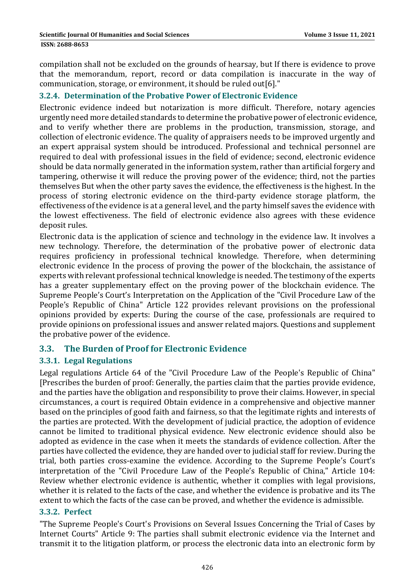**ISSN: 2688-8653** 

compilation shall not be excluded on the grounds of hearsay, but If there is evidence to prove that the memorandum, report, record or data compilation is inaccurate in the way of communication, storage, or environment, it should be ruled out [6]."

#### **3.2.4. Determination of the Probative Power of Electronic Evidence**

Electronic evidence indeed but notarization is more difficult. Therefore, notary agencies urgently need more detailed standards to determine the probative power of electronic evidence, and to verify whether there are problems in the production, transmission, storage, and collection of electronic evidence. The quality of appraisers needs to be improved urgently and an expert appraisal system should be introduced. Professional and technical personnel are required to deal with professional issues in the field of evidence; second, electronic evidence should be data normally generated in the information system, rather than artificial forgery and tampering, otherwise it will reduce the proving power of the evidence; third, not the parties themselves But when the other party saves the evidence, the effectiveness is the highest. In the process of storing electronic evidence on the third-party evidence storage platform, the effectiveness of the evidence is at a general level, and the party himself saves the evidence with the lowest effectiveness. The field of electronic evidence also agrees with these evidence deposit rules.

Electronic data is the application of science and technology in the evidence law. It involves a new technology. Therefore, the determination of the probative power of electronic data requires proficiency in professional technical knowledge. Therefore, when determining electronic evidence In the process of proving the power of the blockchain, the assistance of experts with relevant professional technical knowledge is needed. The testimony of the experts has a greater supplementary effect on the proving power of the blockchain evidence. The Supreme People's Court's Interpretation on the Application of the "Civil Procedure Law of the People's Republic of China" Article 122 provides relevant provisions on the professional opinions provided by experts: During the course of the case, professionals are required to provide opinions on professional issues and answer related majors. Questions and supplement the probative power of the evidence.

#### **3.3. The Burden of Proof for Electronic Evidence**

#### **3.3.1. Legal Regulations**

Legal regulations Article 64 of the "Civil Procedure Law of the People's Republic of China" [Prescribes the burden of proof: Generally, the parties claim that the parties provide evidence, and the parties have the obligation and responsibility to prove their claims. However, in special circumstances, a court is required Obtain evidence in a comprehensive and objective manner based on the principles of good faith and fairness, so that the legitimate rights and interests of the parties are protected. With the development of judicial practice, the adoption of evidence cannot be limited to traditional physical evidence. New electronic evidence should also be adopted as evidence in the case when it meets the standards of evidence collection. After the parties have collected the evidence, they are handed over to judicial staff for review. During the trial, both parties cross-examine the evidence. According to the Supreme People's Court's interpretation of the "Civil Procedure Law of the People's Republic of China," Article 104: Review whether electronic evidence is authentic, whether it complies with legal provisions, whether it is related to the facts of the case, and whether the evidence is probative and its The extent to which the facts of the case can be proved, and whether the evidence is admissible.

#### **3.3.2. Perfect**

"The Supreme People's Court's Provisions on Several Issues Concerning the Trial of Cases by Internet Courts" Article 9: The parties shall submit electronic evidence via the Internet and transmit it to the litigation platform, or process the electronic data into an electronic form by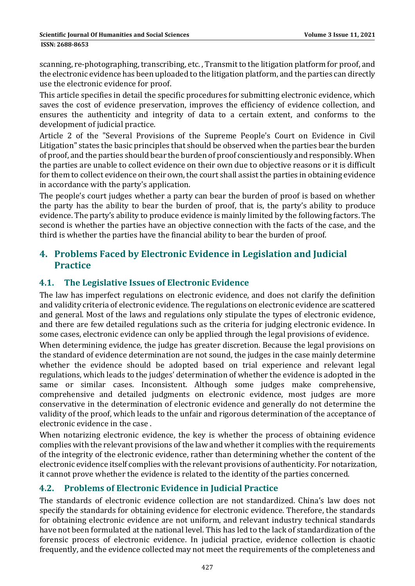scanning, re-photographing, transcribing, etc., Transmit to the litigation platform for proof, and the electronic evidence has been uploaded to the litigation platform, and the parties can directly use the electronic evidence for proof.

This article specifies in detail the specific procedures for submitting electronic evidence, which saves the cost of evidence preservation, improves the efficiency of evidence collection, and ensures the authenticity and integrity of data to a certain extent, and conforms to the development of judicial practice.

Article 2 of the "Several Provisions of the Supreme People's Court on Evidence in Civil Litigation" states the basic principles that should be observed when the parties bear the burden of proof, and the parties should bear the burden of proof conscientiously and responsibly. When the parties are unable to collect evidence on their own due to objective reasons or it is difficult for them to collect evidence on their own, the court shall assist the parties in obtaining evidence in accordance with the party's application.

The people's court judges whether a party can bear the burden of proof is based on whether the party has the ability to bear the burden of proof, that is, the party's ability to produce evidence. The party's ability to produce evidence is mainly limited by the following factors. The second is whether the parties have an objective connection with the facts of the case, and the third is whether the parties have the financial ability to bear the burden of proof.

# **4. Problems Faced by Electronic Evidence in Legislation and Judicial Practice**

### **4.1. The Legislative Issues of Electronic Evidence**

The law has imperfect regulations on electronic evidence, and does not clarify the definition and validity criteria of electronic evidence. The regulations on electronic evidence are scattered and general. Most of the laws and regulations only stipulate the types of electronic evidence, and there are few detailed regulations such as the criteria for judging electronic evidence. In some cases, electronic evidence can only be applied through the legal provisions of evidence.

When determining evidence, the judge has greater discretion. Because the legal provisions on the standard of evidence determination are not sound, the judges in the case mainly determine whether the evidence should be adopted based on trial experience and relevant legal regulations, which leads to the judges' determination of whether the evidence is adopted in the same or similar cases. Inconsistent. Although some judges make comprehensive, comprehensive and detailed judgments on electronic evidence, most judges are more conservative in the determination of electronic evidence and generally do not determine the validity of the proof, which leads to the unfair and rigorous determination of the acceptance of electronic evidence in the case.

When notarizing electronic evidence, the key is whether the process of obtaining evidence complies with the relevant provisions of the law and whether it complies with the requirements of the integrity of the electronic evidence, rather than determining whether the content of the electronic evidence itself complies with the relevant provisions of authenticity. For notarization, it cannot prove whether the evidence is related to the identity of the parties concerned.

#### **4.2. Problems of Electronic Evidence in Judicial Practice**

The standards of electronic evidence collection are not standardized. China's law does not specify the standards for obtaining evidence for electronic evidence. Therefore, the standards for obtaining electronic evidence are not uniform, and relevant industry technical standards have not been formulated at the national level. This has led to the lack of standardization of the forensic process of electronic evidence. In judicial practice, evidence collection is chaotic frequently, and the evidence collected may not meet the requirements of the completeness and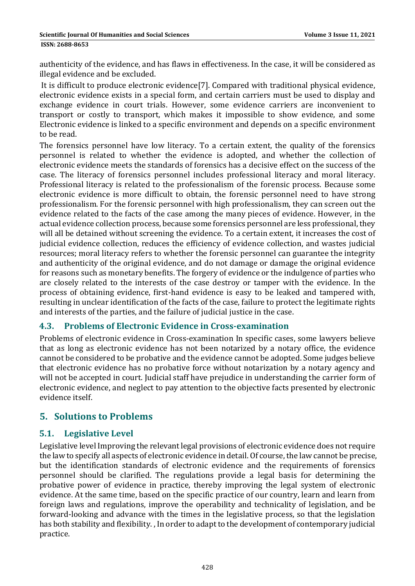#### **ISSN: 2688-8653**

authenticity of the evidence, and has flaws in effectiveness. In the case, it will be considered as illegal evidence and be excluded.

It is difficult to produce electronic evidence [7]. Compared with traditional physical evidence, electronic evidence exists in a special form, and certain carriers must be used to display and exchange evidence in court trials. However, some evidence carriers are inconvenient to transport or costly to transport, which makes it impossible to show evidence, and some Electronic evidence is linked to a specific environment and depends on a specific environment to be read.

The forensics personnel have low literacy. To a certain extent, the quality of the forensics personnel is related to whether the evidence is adopted, and whether the collection of electronic evidence meets the standards of forensics has a decisive effect on the success of the case. The literacy of forensics personnel includes professional literacy and moral literacy. Professional literacy is related to the professionalism of the forensic process. Because some electronic evidence is more difficult to obtain, the forensic personnel need to have strong professionalism. For the forensic personnel with high professionalism, they can screen out the evidence related to the facts of the case among the many pieces of evidence. However, in the actual evidence collection process, because some forensics personnel are less professional, they will all be detained without screening the evidence. To a certain extent, it increases the cost of judicial evidence collection, reduces the efficiency of evidence collection, and wastes judicial resources; moral literacy refers to whether the forensic personnel can guarantee the integrity and authenticity of the original evidence, and do not damage or damage the original evidence for reasons such as monetary benefits. The forgery of evidence or the indulgence of parties who are closely related to the interests of the case destroy or tamper with the evidence. In the process of obtaining evidence, first-hand evidence is easy to be leaked and tampered with, resulting in unclear identification of the facts of the case, failure to protect the legitimate rights and interests of the parties, and the failure of judicial justice in the case.

#### **4.3. Problems of Electronic Evidence in Cross‐examination**

Problems of electronic evidence in Cross-examination In specific cases, some lawyers believe that as long as electronic evidence has not been notarized by a notary office, the evidence cannot be considered to be probative and the evidence cannot be adopted. Some judges believe that electronic evidence has no probative force without notarization by a notary agency and will not be accepted in court. Judicial staff have prejudice in understanding the carrier form of electronic evidence, and neglect to pay attention to the objective facts presented by electronic evidence itself. 

# **5. Solutions to Problems**

#### **5.1. Legislative Level**

Legislative level Improving the relevant legal provisions of electronic evidence does not require the law to specify all aspects of electronic evidence in detail. Of course, the law cannot be precise, but the identification standards of electronic evidence and the requirements of forensics personnel should be clarified. The regulations provide a legal basis for determining the probative power of evidence in practice, thereby improving the legal system of electronic evidence. At the same time, based on the specific practice of our country, learn and learn from foreign laws and regulations, improve the operability and technicality of legislation, and be forward-looking and advance with the times in the legislative process, so that the legislation has both stability and flexibility., In order to adapt to the development of contemporary judicial practice.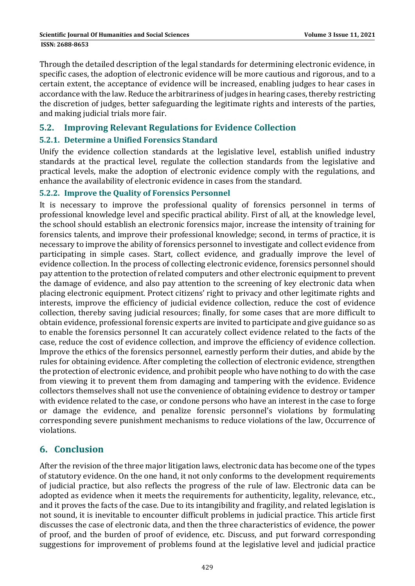Through the detailed description of the legal standards for determining electronic evidence, in specific cases, the adoption of electronic evidence will be more cautious and rigorous, and to a certain extent, the acceptance of evidence will be increased, enabling judges to hear cases in accordance with the law. Reduce the arbitrariness of judges in hearing cases, thereby restricting the discretion of judges, better safeguarding the legitimate rights and interests of the parties, and making judicial trials more fair.

#### **5.2. Improving Relevant Regulations for Evidence Collection**

#### **5.2.1. Determine a Unified Forensics Standard**

Unify the evidence collection standards at the legislative level, establish unified industry standards at the practical level, regulate the collection standards from the legislative and practical levels, make the adoption of electronic evidence comply with the regulations, and enhance the availability of electronic evidence in cases from the standard.

#### **5.2.2. Improve the Quality of Forensics Personnel**

It is necessary to improve the professional quality of forensics personnel in terms of professional knowledge level and specific practical ability. First of all, at the knowledge level, the school should establish an electronic forensics major, increase the intensity of training for forensics talents, and improve their professional knowledge; second, in terms of practice, it is necessary to improve the ability of forensics personnel to investigate and collect evidence from participating in simple cases. Start, collect evidence, and gradually improve the level of evidence collection. In the process of collecting electronic evidence, forensics personnel should pay attention to the protection of related computers and other electronic equipment to prevent the damage of evidence, and also pay attention to the screening of key electronic data when placing electronic equipment. Protect citizens' right to privacy and other legitimate rights and interests, improve the efficiency of judicial evidence collection, reduce the cost of evidence collection, thereby saving judicial resources; finally, for some cases that are more difficult to obtain evidence, professional forensic experts are invited to participate and give guidance so as to enable the forensics personnel It can accurately collect evidence related to the facts of the case, reduce the cost of evidence collection, and improve the efficiency of evidence collection. Improve the ethics of the forensics personnel, earnestly perform their duties, and abide by the rules for obtaining evidence. After completing the collection of electronic evidence, strengthen the protection of electronic evidence, and prohibit people who have nothing to do with the case from viewing it to prevent them from damaging and tampering with the evidence. Evidence collectors themselves shall not use the convenience of obtaining evidence to destroy or tamper with evidence related to the case, or condone persons who have an interest in the case to forge or damage the evidence, and penalize forensic personnel's violations by formulating corresponding severe punishment mechanisms to reduce violations of the law, Occurrence of violations. 

# **6. Conclusion**

After the revision of the three major litigation laws, electronic data has become one of the types of statutory evidence. On the one hand, it not only conforms to the development requirements of judicial practice, but also reflects the progress of the rule of law. Electronic data can be adopted as evidence when it meets the requirements for authenticity, legality, relevance, etc., and it proves the facts of the case. Due to its intangibility and fragility, and related legislation is not sound, it is inevitable to encounter difficult problems in judicial practice. This article first discusses the case of electronic data, and then the three characteristics of evidence, the power of proof, and the burden of proof of evidence, etc. Discuss, and put forward corresponding suggestions for improvement of problems found at the legislative level and judicial practice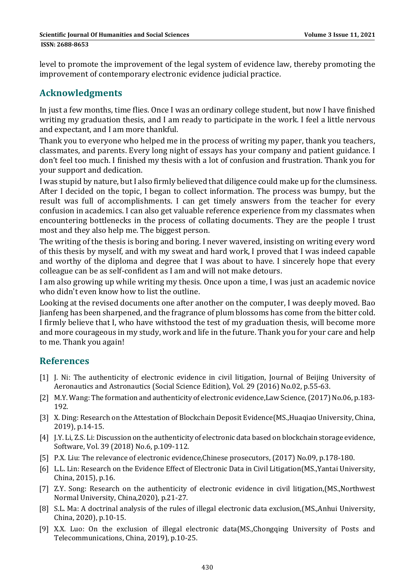level to promote the improvement of the legal system of evidence law, thereby promoting the improvement of contemporary electronic evidence judicial practice.

# **Acknowledgments**

In just a few months, time flies. Once I was an ordinary college student, but now I have finished writing my graduation thesis, and I am ready to participate in the work. I feel a little nervous and expectant, and I am more thankful.

Thank you to everyone who helped me in the process of writing my paper, thank you teachers, classmates, and parents. Every long night of essays has your company and patient guidance. I don't feel too much. I finished my thesis with a lot of confusion and frustration. Thank you for your support and dedication.

I was stupid by nature, but I also firmly believed that diligence could make up for the clumsiness. After I decided on the topic, I began to collect information. The process was bumpy, but the result was full of accomplishments. I can get timely answers from the teacher for every confusion in academics. I can also get valuable reference experience from my classmates when encountering bottlenecks in the process of collating documents. They are the people I trust most and they also help me. The biggest person.

The writing of the thesis is boring and boring. I never wavered, insisting on writing every word of this thesis by myself, and with my sweat and hard work, I proved that I was indeed capable and worthy of the diploma and degree that I was about to have. I sincerely hope that every colleague can be as self-confident as I am and will not make detours.

I am also growing up while writing my thesis. Once upon a time, I was just an academic novice who didn't even know how to list the outline.

Looking at the revised documents one after another on the computer, I was deeply moved. Bao Jianfeng has been sharpened, and the fragrance of plum blossoms has come from the bitter cold. I firmly believe that I, who have withstood the test of my graduation thesis, will become more and more courageous in my study, work and life in the future. Thank you for your care and help to me. Thank you again!

# **References**

- [1] J. Ni: The authenticity of electronic evidence in civil litigation, Journal of Beijing University of Aeronautics and Astronautics (Social Science Edition), Vol. 29 (2016) No.02, p.55-63.
- [2] M.Y. Wang: The formation and authenticity of electronic evidence, Law Science, (2017) No.06, p.183– 192.
- [3] X. Ding: Research on the Attestation of Blockchain Deposit Evidence(MS., Huaqiao University, China, 2019), p.14-15.
- [4] J.Y. Li, Z.S. Li: Discussion on the authenticity of electronic data based on blockchain storage evidence, Software, Vol. 39 (2018) No.6, p.109-112.
- [5] P.X. Liu: The relevance of electronic evidence, Chinese prosecutors, (2017) No.09, p.178-180.
- [6] L.L. Lin: Research on the Evidence Effect of Electronic Data in Civil Litigation(MS., Yantai University, China, 2015), p.16.
- [7] Z.Y. Song: Research on the authenticity of electronic evidence in civil litigation,(MS.,Northwest) Normal University, China, 2020), p.21-27.
- [8] S.L. Ma: A doctrinal analysis of the rules of illegal electronic data exclusion, (MS.,Anhui University, China, 2020), p.10-15.
- [9] X.X. Luo: On the exclusion of illegal electronic data(MS.,Chongqing University of Posts and Telecommunications, China, 2019), p.10-25.